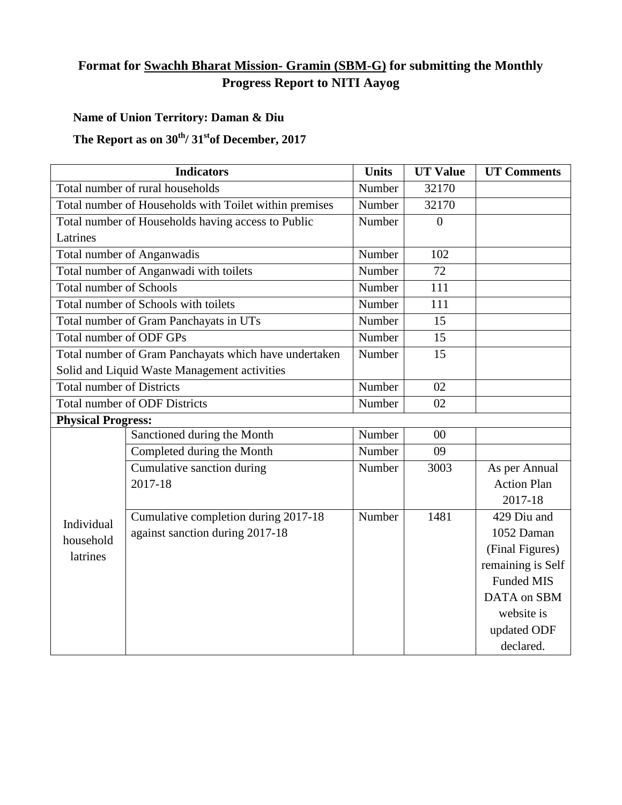## **Format for Swachh Bharat Mission- Gramin (SBM-G) for submitting the Monthly Progress Report to NITI Aayog**

## **Name of Union Territory: Daman & Diu**

## The Report as on  $30^{th}/31^{st}$ of December, 2017

| <b>Indicators</b>                                      |                                      | <b>Units</b> | <b>UT Value</b> | <b>UT Comments</b> |
|--------------------------------------------------------|--------------------------------------|--------------|-----------------|--------------------|
| Total number of rural households                       |                                      | Number       | 32170           |                    |
| Total number of Households with Toilet within premises |                                      | Number       | 32170           |                    |
| Total number of Households having access to Public     |                                      | Number       | $\theta$        |                    |
| Latrines                                               |                                      |              |                 |                    |
| Total number of Anganwadis                             |                                      | Number       | 102             |                    |
| Total number of Anganwadi with toilets                 |                                      | Number       | 72              |                    |
| <b>Total number of Schools</b>                         |                                      | Number       | 111             |                    |
| Total number of Schools with toilets                   |                                      | Number       | 111             |                    |
| Total number of Gram Panchayats in UTs                 |                                      | Number       | 15              |                    |
| Total number of ODF GPs                                |                                      | Number       | 15              |                    |
| Total number of Gram Panchayats which have undertaken  |                                      | Number       | 15              |                    |
| Solid and Liquid Waste Management activities           |                                      |              |                 |                    |
| <b>Total number of Districts</b>                       |                                      | Number       | 02              |                    |
| <b>Total number of ODF Districts</b>                   |                                      | Number       | 02              |                    |
| <b>Physical Progress:</b>                              |                                      |              |                 |                    |
| Individual<br>household<br>latrines                    | Sanctioned during the Month          | Number       | 00              |                    |
|                                                        | Completed during the Month           | Number       | 09              |                    |
|                                                        | Cumulative sanction during           | Number       | 3003            | As per Annual      |
|                                                        | 2017-18                              |              |                 | <b>Action Plan</b> |
|                                                        |                                      |              |                 | 2017-18            |
|                                                        | Cumulative completion during 2017-18 | Number       | 1481            | 429 Diu and        |
|                                                        | against sanction during 2017-18      |              |                 | 1052 Daman         |
|                                                        |                                      |              |                 | (Final Figures)    |
|                                                        |                                      |              |                 | remaining is Self  |
|                                                        |                                      |              |                 | <b>Funded MIS</b>  |
|                                                        |                                      |              |                 | DATA on SBM        |
|                                                        |                                      |              |                 | website is         |
|                                                        |                                      |              |                 | updated ODF        |
|                                                        |                                      |              |                 | declared.          |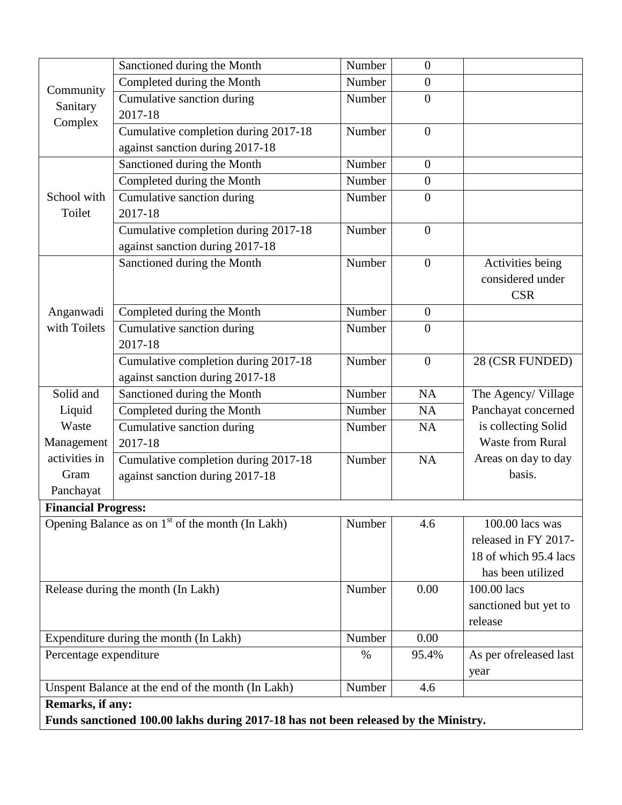|                                                                                     | Sanctioned during the Month          | Number | $\overline{0}$    |                         |  |  |  |
|-------------------------------------------------------------------------------------|--------------------------------------|--------|-------------------|-------------------------|--|--|--|
| Community<br>Sanitary                                                               | Completed during the Month           | Number | $\boldsymbol{0}$  |                         |  |  |  |
|                                                                                     | Cumulative sanction during           | Number | $\overline{0}$    |                         |  |  |  |
| Complex                                                                             | 2017-18                              |        |                   |                         |  |  |  |
|                                                                                     | Cumulative completion during 2017-18 | Number | $\overline{0}$    |                         |  |  |  |
|                                                                                     | against sanction during 2017-18      |        |                   |                         |  |  |  |
|                                                                                     | Sanctioned during the Month          | Number | $\overline{0}$    |                         |  |  |  |
| School with                                                                         | Completed during the Month           | Number | $\boldsymbol{0}$  |                         |  |  |  |
|                                                                                     | Cumulative sanction during           | Number | $\overline{0}$    |                         |  |  |  |
| Toilet                                                                              | 2017-18                              |        |                   |                         |  |  |  |
|                                                                                     | Cumulative completion during 2017-18 | Number | $\overline{0}$    |                         |  |  |  |
|                                                                                     | against sanction during 2017-18      |        |                   |                         |  |  |  |
|                                                                                     | Sanctioned during the Month          | Number | $\overline{0}$    | Activities being        |  |  |  |
|                                                                                     |                                      |        |                   | considered under        |  |  |  |
|                                                                                     |                                      |        |                   | <b>CSR</b>              |  |  |  |
| Anganwadi                                                                           | Completed during the Month           | Number | $\overline{0}$    |                         |  |  |  |
| with Toilets                                                                        | Cumulative sanction during           | Number | $\overline{0}$    |                         |  |  |  |
|                                                                                     | 2017-18                              |        |                   |                         |  |  |  |
|                                                                                     | Cumulative completion during 2017-18 | Number | $\overline{0}$    | 28 (CSR FUNDED)         |  |  |  |
|                                                                                     | against sanction during 2017-18      |        |                   |                         |  |  |  |
| Solid and                                                                           | Sanctioned during the Month          | Number | <b>NA</b>         | The Agency/ Village     |  |  |  |
| Liquid                                                                              | Completed during the Month           | Number | <b>NA</b>         | Panchayat concerned     |  |  |  |
| Waste                                                                               | Cumulative sanction during           | Number | NA                | is collecting Solid     |  |  |  |
| Management                                                                          | 2017-18                              |        |                   | <b>Waste from Rural</b> |  |  |  |
| activities in                                                                       | Cumulative completion during 2017-18 | Number | <b>NA</b>         | Areas on day to day     |  |  |  |
| Gram                                                                                | against sanction during 2017-18      |        |                   | basis.                  |  |  |  |
| Panchayat                                                                           |                                      |        |                   |                         |  |  |  |
| <b>Financial Progress:</b>                                                          |                                      |        |                   |                         |  |  |  |
| Opening Balance as on 1 <sup>st</sup> of the month (In Lakh)                        |                                      | Number | 4.6               | 100.00 lacs was         |  |  |  |
|                                                                                     |                                      |        |                   | released in FY 2017-    |  |  |  |
|                                                                                     |                                      |        |                   | 18 of which 95.4 lacs   |  |  |  |
|                                                                                     |                                      |        | has been utilized |                         |  |  |  |
| Release during the month (In Lakh)                                                  |                                      | Number | 0.00              | 100.00 lacs             |  |  |  |
|                                                                                     |                                      |        |                   | sanctioned but yet to   |  |  |  |
|                                                                                     |                                      |        |                   | release                 |  |  |  |
| Expenditure during the month (In Lakh)                                              |                                      | Number | 0.00              |                         |  |  |  |
| Percentage expenditure                                                              |                                      | $\%$   | 95.4%             | As per ofreleased last  |  |  |  |
|                                                                                     |                                      |        |                   | year                    |  |  |  |
| Unspent Balance at the end of the month (In Lakh)                                   |                                      | Number | 4.6               |                         |  |  |  |
| Remarks, if any:                                                                    |                                      |        |                   |                         |  |  |  |
| Funds sanctioned 100.00 lakhs during 2017-18 has not been released by the Ministry. |                                      |        |                   |                         |  |  |  |